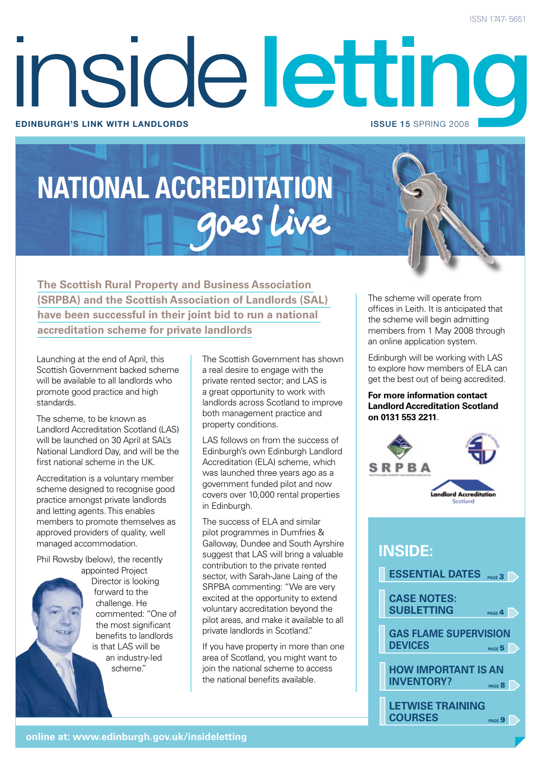# inside letting **Edinburgh's link with landlords** issue 15 SPRING 2008

# **NATIONAL ACCREDITATION**

**The Scottish Rural Property and Business Association (SRPBA) and the Scottish Association of Landlords (SAL) have been successful in their joint bid to run a national accreditation scheme for private landlords**

Launching at the end of April, this Scottish Government backed scheme will be available to all landlords who promote good practice and high standards.

The scheme, to be known as Landlord Accreditation Scotland (LAS) will be launched on 30 April at SAL's National Landlord Day, and will be the first national scheme in the UK.

Accreditation is a voluntary member scheme designed to recognise good practice amongst private landlords and letting agents. This enables members to promote themselves as approved providers of quality, well managed accommodation.

Phil Rowsby (below), the recently appointed Project

Director is looking forward to the challenge. He commented: "One of the most significant benefits to landlords is that LAS will be an industry-led scheme."

The Scottish Government has shown a real desire to engage with the private rented sector; and LAS is a great opportunity to work with landlords across Scotland to improve both management practice and property conditions.

LAS follows on from the success of Edinburgh's own Edinburgh Landlord Accreditation (ELA) scheme, which was launched three years ago as a government funded pilot and now covers over 10,000 rental properties in Edinburgh.

The success of ELA and similar pilot programmes in Dumfries & Galloway, Dundee and South Ayrshire suggest that LAS will bring a valuable contribution to the private rented sector, with Sarah-Jane Laing of the SRPBA commenting: "We are very excited at the opportunity to extend voluntary accreditation beyond the pilot areas, and make it available to all private landlords in Scotland."

If you have property in more than one area of Scotland, you might want to join the national scheme to access the national benefits available.

The scheme will operate from offices in Leith. It is anticipated that the scheme will begin admitting members from 1 May 2008 through an online application system.

Edinburgh will be working with LAS to explore how members of ELA can get the best out of being accredited.

**For more information contact Landlord Accreditation Scotland on 0131 553 2211**.



# **inside:**

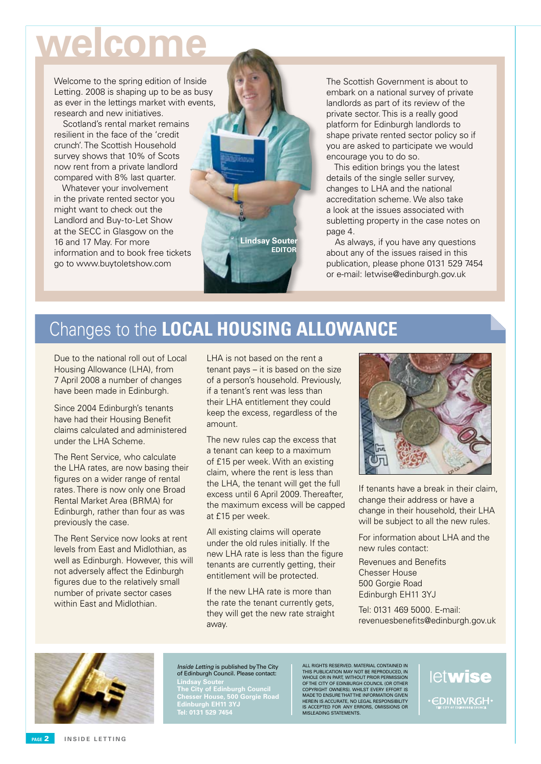# **welcome**

Welcome to the spring edition of Inside Letting. 2008 is shaping up to be as busy as ever in the lettings market with events, research and new initiatives.

Scotland's rental market remains resilient in the face of the 'credit crunch'. The Scottish Household survey shows that 10% of Scots now rent from a private landlord compared with 8% last quarter.

Whatever your involvement in the private rented sector you might want to check out the Landlord and Buy-to-Let Show at the SECC in Glasgow on the 16 and 17 May. For more information and to book free tickets go to www.buytoletshow.com



The Scottish Government is about to embark on a national survey of private landlords as part of its review of the private sector. This is a really good platform for Edinburgh landlords to shape private rented sector policy so if you are asked to participate we would encourage you to do so.

This edition brings you the latest details of the single seller survey, changes to LHA and the national accreditation scheme. We also take a look at the issues associated with subletting property in the case notes on page 4.

As always, if you have any questions about any of the issues raised in this publication, please phone 0131 529 7454 or e-mail: letwise@edinburgh.gov.uk

# Changes to the **LOCAL HOUSING ALLOWANCE**

Due to the national roll out of Local Housing Allowance (LHA), from 7 April 2008 a number of changes have been made in Edinburgh.

Since 2004 Edinburgh's tenants have had their Housing Benefit claims calculated and administered under the LHA Scheme.

The Rent Service, who calculate the LHA rates, are now basing their figures on a wider range of rental rates. There is now only one Broad Rental Market Area (BRMA) for Edinburgh, rather than four as was previously the case.

The Rent Service now looks at rent levels from East and Midlothian, as well as Edinburgh. However, this will not adversely affect the Edinburgh figures due to the relatively small number of private sector cases within East and Midlothian.

LHA is not based on the rent a tenant pays – it is based on the size of a person's household. Previously, if a tenant's rent was less than their LHA entitlement they could keep the excess, regardless of the amount.

The new rules cap the excess that a tenant can keep to a maximum of £15 per week. With an existing claim, where the rent is less than the LHA, the tenant will get the full excess until 6 April 2009. Thereafter, the maximum excess will be capped at £15 per week.

All existing claims will operate under the old rules initially. If the new LHA rate is less than the figure tenants are currently getting, their entitlement will be protected.

If the new I HA rate is more than the rate the tenant currently gets. they will get the new rate straight away.



If tenants have a break in their claim, change their address or have a change in their household, their LHA will be subject to all the new rules.

For information about LHA and the new rules contact:

Revenues and Benefits Chesser House 500 Gorgie Road Edinburgh EH11 3YJ

Tel: 0131 469 5000. E-mail: revenuesbenefits@edinburgh.gov.uk



### Inside Letting is published by The City of Edinburgh Council. Please contact:

**Lindsay Souter The City of Edinburgh Council Chesser House, 500 Gorgie Road Edinburgh EH11 3YJ Tel: 0131 529 7454**

ALL RIGHTS RESERVED. MATERIAL CONTAINED IN<br>THIS PUBLICATION MAY NOT BE REPRODUCED, IN<br>WHOLE OR IN PART, WITHOUT PRIOR PERMISSION<br>OFTHE CITY OF EDINBURGH COUNCIL (OR OTHER<br>COPYRIGHT OWNERS). WHILST EVERY EFFORT IS<br>MADE TO E is accepted for any errors, omissions or misleading statements.

letwise **EDINBVRGH**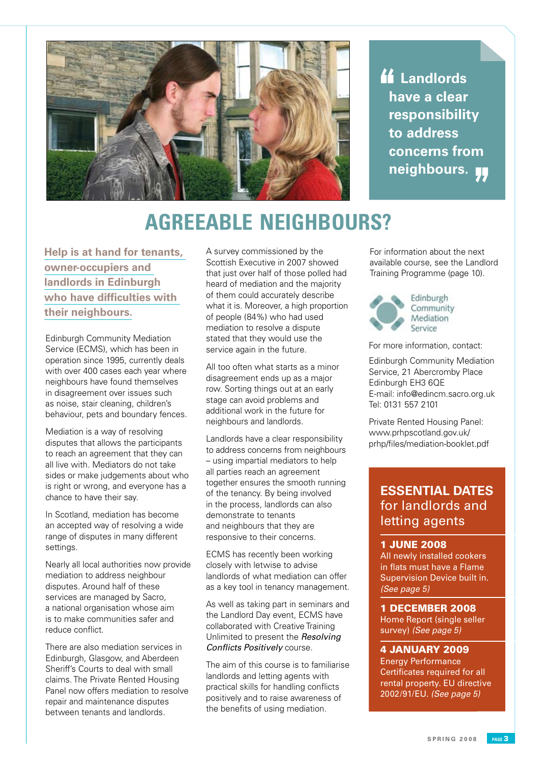

 **Landlords have a clear responsibility to address concerns from neighbours.**

# **AGREEABLE NEIGHBOURS?**

**Help is at hand for tenants, owner-occupiers and landlords in Edinburgh who have difficulties with their neighbours.**

Edinburgh Community Mediation Service (ECMS), which has been in operation since 1995, currently deals with over 400 cases each year where neighbours have found themselves in disagreement over issues such as noise, stair cleaning, children's behaviour, pets and boundary fences.

Mediation is a way of resolving disputes that allows the participants to reach an agreement that they can all live with. Mediators do not take sides or make judgements about who is right or wrong, and everyone has a chance to have their say.

In Scotland, mediation has become an accepted way of resolving a wide range of disputes in many different settings.

Nearly all local authorities now provide mediation to address neighbour disputes. Around half of these services are managed by Sacro, a national organisation whose aim is to make communities safer and reduce conflict.

There are also mediation services in Edinburgh, Glasgow, and Aberdeen Sheriff's Courts to deal with small claims. The Private Rented Housing Panel now offers mediation to resolve repair and maintenance disputes between tenants and landlords.

A survey commissioned by the Scottish Executive in 2007 showed that just over half of those polled had heard of mediation and the majority of them could accurately describe what it is. Moreover, a high proportion of people (84%) who had used mediation to resolve a dispute stated that they would use the service again in the future.

All too often what starts as a minor disagreement ends up as a major row. Sorting things out at an early stage can avoid problems and additional work in the future for neighbours and landlords.

Landlords have a clear responsibility to address concerns from neighbours – using impartial mediators to help all parties reach an agreement together ensures the smooth running of the tenancy. By being involved in the process, landlords can also demonstrate to tenants and neighbours that they are responsive to their concerns.

ECMS has recently been working closely with letwise to advise landlords of what mediation can offer as a key tool in tenancy management.

As well as taking part in seminars and the Landlord Day event, ECMS have collaborated with Creative Training Unlimited to present the Resolving Conflicts Positively course.

The aim of this course is to familiarise landlords and letting agents with practical skills for handling conflicts positively and to raise awareness of the benefits of using mediation.

For information about the next available course, see the Landlord Training Programme (page 10).



Community Mediation

For more information, contact:

Edinburgh Community Mediation Service, 21 Abercromby Place Edinburgh EH3 6QE E-mail: info@edincm.sacro.org.uk Tel: 0131 557 2101

Private Rented Housing Panel: www.prhpscotland.gov.uk/ prhp/files/mediation-booklet.pdf

# **ESSENTIAL DATES** for landlords and letting agents

# 1 JUNE 2008

All newly installed cookers in flats must have a Flame Supervision Device built in. (See page 5)

1 DECEMBER 2008 Home Report (single seller survey) (See page 5)

4 JANUARY 2009 Energy Performance

Certificates required for all rental property. EU directive 2002/91/EU. (See page 5)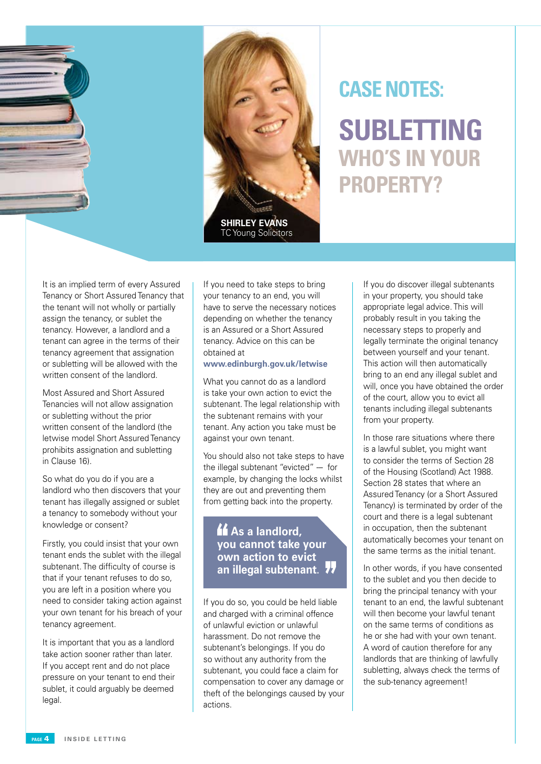

# **Subletting Who's in youR property? Case Notes::**

It is an implied term of every Assured Tenancy or Short Assured Tenancy that the tenant will not wholly or partially assign the tenancy, or sublet the tenancy. However, a landlord and a tenant can agree in the terms of their tenancy agreement that assignation or subletting will be allowed with the written consent of the landlord.

Most Assured and Short Assured Tenancies will not allow assignation or subletting without the prior written consent of the landlord (the letwise model Short Assured Tenancy prohibits assignation and subletting in Clause 16).

So what do you do if you are a landlord who then discovers that your tenant has illegally assigned or sublet a tenancy to somebody without your knowledge or consent?

Firstly, you could insist that your own tenant ends the sublet with the illegal subtenant. The difficulty of course is that if your tenant refuses to do so, you are left in a position where you need to consider taking action against your own tenant for his breach of your tenancy agreement.

It is important that you as a landlord take action sooner rather than later. If you accept rent and do not place pressure on your tenant to end their sublet, it could arguably be deemed legal.

If you need to take steps to bring your tenancy to an end, you will have to serve the necessary notices depending on whether the tenancy is an Assured or a Short Assured tenancy. Advice on this can be obtained at

# **www.edinburgh.gov.uk/letwise**

What you cannot do as a landlord is take your own action to evict the subtenant. The legal relationship with the subtenant remains with your tenant. Any action you take must be against your own tenant.

You should also not take steps to have the illegal subtenant "evicted" -- for example, by changing the locks whilst they are out and preventing them from getting back into the property.

*K* As a landlord, **you cannot take your own action to evict an illegal subtenant**.

If you do so, you could be held liable and charged with a criminal offence of unlawful eviction or unlawful harassment. Do not remove the subtenant's belongings. If you do so without any authority from the subtenant, you could face a claim for compensation to cover any damage or theft of the belongings caused by your actions.

If you do discover illegal subtenants in your property, you should take appropriate legal advice. This will probably result in you taking the necessary steps to properly and legally terminate the original tenancy between yourself and your tenant. This action will then automatically bring to an end any illegal sublet and will, once you have obtained the order of the court, allow you to evict all tenants including illegal subtenants from your property.

In those rare situations where there is a lawful sublet, you might want to consider the terms of Section 28 of the Housing (Scotland) Act 1988. Section 28 states that where an Assured Tenancy (or a Short Assured Tenancy) is terminated by order of the court and there is a legal subtenant in occupation, then the subtenant automatically becomes your tenant on the same terms as the initial tenant.

In other words, if you have consented to the sublet and you then decide to bring the principal tenancy with your tenant to an end, the lawful subtenant will then become your lawful tenant on the same terms of conditions as he or she had with your own tenant. A word of caution therefore for any landlords that are thinking of lawfully subletting, always check the terms of the sub-tenancy agreement!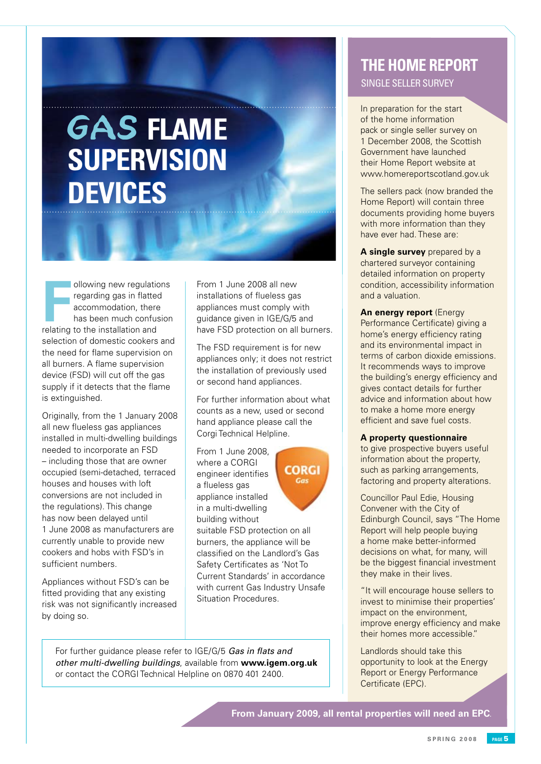# GAS **FLAME SUPERVISION DEVICES**

Frank of the installation and the installation and installation and installation and installation and installation and installation and installation and installation and installation and installation and installation and i ollowing new regulations regarding gas in flatted accommodation, there has been much confusion selection of domestic cookers and the need for flame supervision on all burners. A flame supervision device (FSD) will cut off the gas supply if it detects that the flame is extinguished.

Originally, from the 1 January 2008 all new flueless gas appliances installed in multi-dwelling buildings needed to incorporate an FSD – including those that are owner occupied (semi-detached, terraced houses and houses with loft conversions are not included in the regulations). This change has now been delayed until 1 June 2008 as manufacturers are currently unable to provide new cookers and hobs with FSD's in sufficient numbers.

Appliances without FSD's can be fitted providing that any existing risk was not significantly increased by doing so.

From 1 June 2008 all new installations of flueless gas appliances must comply with guidance given in IGE/G/5 and have FSD protection on all burners.

The FSD requirement is for new appliances only; it does not restrict the installation of previously used or second hand appliances.

For further information about what counts as a new, used or second hand appliance please call the Corgi Technical Helpline.

From 1 June 2008, where a CORGI engineer identifies a flueless gas appliance installed in a multi-dwelling building without



suitable FSD protection on all burners, the appliance will be classified on the Landlord's Gas Safety Certificates as 'Not To Current Standards' in accordance with current Gas Industry Unsafe Situation Procedures.

For further quidance please refer to IGE/G/5 Gas in flats and other multi-dwelling buildings, available from **www.igem.org.uk** or contact the CORGI Technical Helpline on 0870 401 2400.

# **THE Home report** Single seller survey

In preparation for the start of the home information pack or single seller survey on 1 December 2008, the Scottish Government have launched their Home Report website at www.homereportscotland.gov.uk

The sellers pack (now branded the Home Report) will contain three documents providing home buyers with more information than they have ever had. These are:

**A single survey** prepared by a chartered surveyor containing detailed information on property condition, accessibility information and a valuation.

**An energy report** (Energy Performance Certificate) giving a home's energy efficiency rating and its environmental impact in terms of carbon dioxide emissions. It recommends ways to improve the building's energy efficiency and gives contact details for further advice and information about how to make a home more energy efficient and save fuel costs.

# **A property questionnaire**

to give prospective buyers useful information about the property, such as parking arrangements, factoring and property alterations.

Councillor Paul Edie, Housing Convener with the City of Edinburgh Council, says "The Home Report will help people buying a home make better-informed decisions on what, for many, will be the biggest financial investment they make in their lives.

"It will encourage house sellers to invest to minimise their properties' impact on the environment, improve energy efficiency and make their homes more accessible."

Landlords should take this opportunity to look at the Energy Report or Energy Performance Certificate (EPC).

**From January 2009, all rental properties will need an EPC**.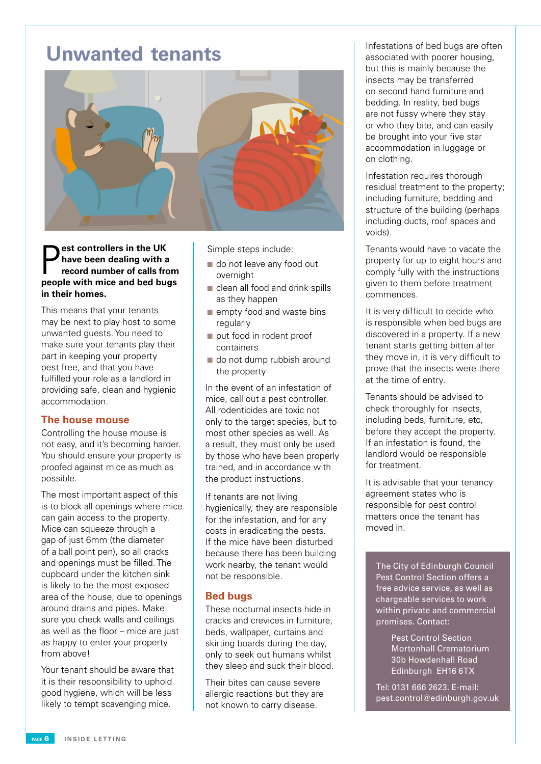# **Unwanted tenants**



**p** est controllers in the UK<br>have been dealing with a<br>record number of calls from<br>people with mice and bed bugs **est controllers in the UK have been dealing with a record number of calls from in their homes.**

This means that your tenants may be next to play host to some unwanted guests. You need to make sure your tenants play their part in keeping your property pest free, and that you have fulfilled your role as a landlord in providing safe, clean and hygienic accommodation.

# **The house mouse**

Controlling the house mouse is not easy, and it's becoming harder. You should ensure your property is proofed against mice as much as possible.

The most important aspect of this is to block all openings where mice can gain access to the property. Mice can squeeze through a gap of just 6mm (the diameter of a ball point pen), so all cracks and openings must be filled. The cupboard under the kitchen sink is likely to be the most exposed area of the house, due to openings around drains and pipes. Make sure you check walls and ceilings as well as the floor – mice are just as happy to enter your property from above!

Your tenant should be aware that it is their responsibility to uphold good hygiene, which will be less likely to tempt scavenging mice.

Simple steps include:

- od out leave any food out overnight
- $\blacksquare$  clean all food and drink spills as they happen
- $\blacksquare$  empty food and waste bins regularly
- put food in rodent proof containers
- $\blacksquare$  do not dump rubbish around the property

In the event of an infestation of mice, call out a pest controller. All rodenticides are toxic not only to the target species, but to most other species as well. As a result, they must only be used by those who have been properly trained, and in accordance with the product instructions.

If tenants are not living hygienically, they are responsible for the infestation, and for any costs in eradicating the pests. If the mice have been disturbed because there has been building work nearby, the tenant would not be responsible.

# **Bed bugs**

These nocturnal insects hide in cracks and crevices in furniture, beds, wallpaper, curtains and skirting boards during the day, only to seek out humans whilst they sleep and suck their blood.

Their bites can cause severe allergic reactions but they are not known to carry disease.

Infestations of bed bugs are often associated with poorer housing, but this is mainly because the insects may be transferred on second hand furniture and bedding. In reality, bed bugs are not fussy where they stay or who they bite, and can easily be brought into your five star accommodation in luggage or on clothing.

Infestation requires thorough residual treatment to the property; including furniture, bedding and structure of the building (perhaps including ducts, roof spaces and voids).

Tenants would have to vacate the property for up to eight hours and comply fully with the instructions given to them before treatment commences.

It is very difficult to decide who is responsible when bed bugs are discovered in a property. If a new tenant starts getting bitten after they move in, it is very difficult to prove that the insects were there at the time of entry.

Tenants should be advised to check thoroughly for insects, including beds, furniture, etc, before they accept the property. If an infestation is found, the landlord would be responsible for treatment.

It is advisable that your tenancy agreement states who is responsible for pest control matters once the tenant has moved in.

The City of Edinburgh Council Pest Control Section offers a free advice service, as well as chargeable services to work within private and commercial premises. Contact:

> Pest Control Section Mortonhall Crematorium 30b Howdenhall Road Edinburgh EH16 6TX

Tel: 0131 666 2623. E-mail: pest.control@edinburgh.gov.uk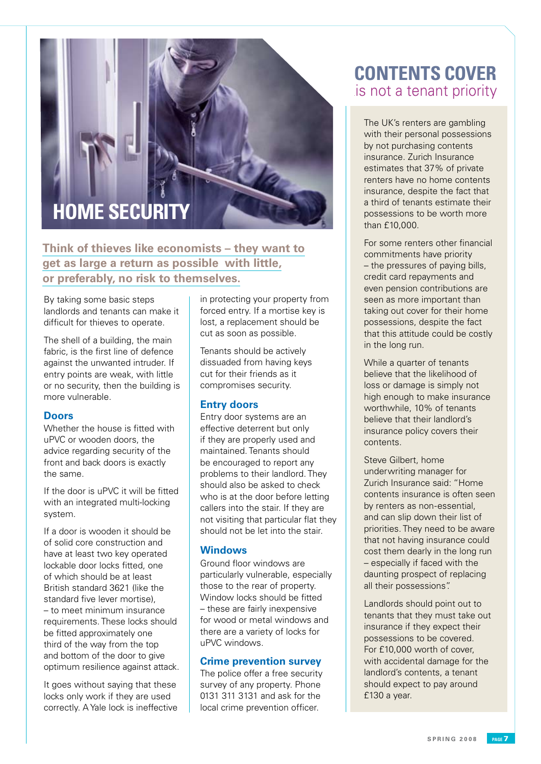# **Home Security**

**Think of thieves like economists – they want to get as large a return as possible. with little, or preferably, no risk to themselves.**

By taking some basic steps landlords and tenants can make it difficult for thieves to operate.

The shell of a building, the main fabric, is the first line of defence against the unwanted intruder. If entry points are weak, with little or no security, then the building is more vulnerable.

# **Doors**

Whether the house is fitted with uPVC or wooden doors, the advice regarding security of the front and back doors is exactly the same.

If the door is uPVC it will be fitted with an integrated multi-locking system.

If a door is wooden it should be of solid core construction and have at least two key operated lockable door locks fitted, one of which should be at least British standard 3621 (like the standard five lever mortise), – to meet minimum insurance requirements. These locks should be fitted approximately one third of the way from the top and bottom of the door to give optimum resilience against attack.

It goes without saying that these locks only work if they are used correctly. A Yale lock is ineffective in protecting your property from forced entry. If a mortise key is lost, a replacement should be cut as soon as possible.

Tenants should be actively dissuaded from having keys cut for their friends as it compromises security.

# **Entry doors**

Entry door systems are an effective deterrent but only if they are properly used and maintained. Tenants should be encouraged to report any problems to their landlord. They should also be asked to check who is at the door before letting callers into the stair. If they are not visiting that particular flat they should not be let into the stair.

### **Windows**

Ground floor windows are particularly vulnerable, especially those to the rear of property. Window locks should be fitted – these are fairly inexpensive for wood or metal windows and there are a variety of locks for uPVC windows.

# **Crime prevention survey**

The police offer a free security survey of any property. Phone 0131 311 3131 and ask for the local crime prevention officer.

# **CONTENTS COVER** .is not a tenant priority

The UK's renters are gambling with their personal possessions by not purchasing contents insurance. Zurich Insurance estimates that 37% of private renters have no home contents insurance, despite the fact that a third of tenants estimate their possessions to be worth more than £10,000.

For some renters other financial commitments have priority – the pressures of paying bills, credit card repayments and even pension contributions are seen as more important than taking out cover for their home possessions, despite the fact that this attitude could be costly in the long run.

While a quarter of tenants believe that the likelihood of loss or damage is simply not high enough to make insurance worthwhile, 10% of tenants believe that their landlord's insurance policy covers their contents.

Steve Gilbert, home underwriting manager for Zurich Insurance said: "Home contents insurance is often seen by renters as non-essential, and can slip down their list of priorities. They need to be aware that not having insurance could cost them dearly in the long run – especially if faced with the daunting prospect of replacing all their possessions".

Landlords should point out to tenants that they must take out insurance if they expect their possessions to be covered. For £10,000 worth of cover, with accidental damage for the landlord's contents, a tenant should expect to pay around £130 a year.

**S P R I N G 2 0 0 8 page**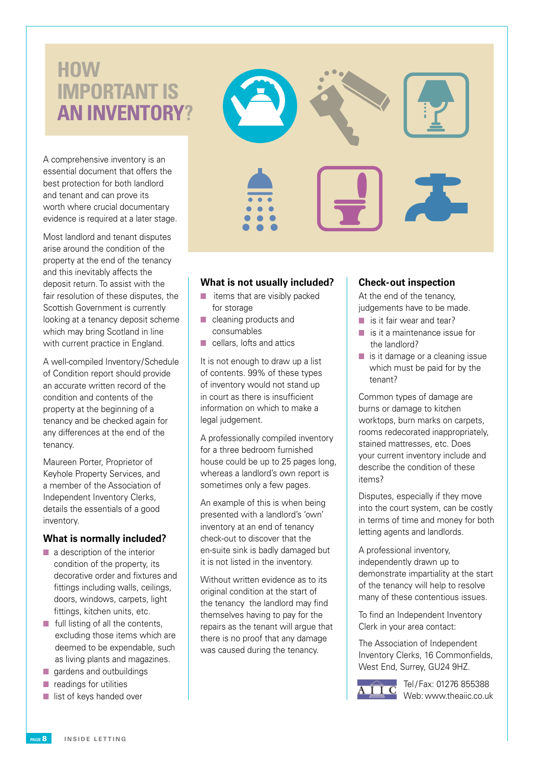# **How important is an inventory?**

A comprehensive inventory is an essential document that offers the best protection for both landlord and tenant and can prove its worth where crucial documentary evidence is required at a later stage.

Most landlord and tenant disputes arise around the condition of the property at the end of the tenancy and this inevitably affects the deposit return. To assist with the fair resolution of these disputes, the Scottish Government is currently looking at a tenancy deposit scheme which may bring Scotland in line with current practice in England.

A well-compiled Inventory/Schedule of Condition report should provide an accurate written record of the condition and contents of the property at the beginning of a tenancy and be checked again for any differences at the end of the tenancy.

Maureen Porter, Proprietor of Keyhole Property Services, and a member of the Association of Independent Inventory Clerks, details the essentials of a good inventory.

# **What is normally included?**

- $\blacksquare$  a description of the interior condition of the property, its decorative order and fixtures and fittings including walls, ceilings, doors, windows, carpets, light fittings, kitchen units, etc.
- $\blacksquare$  full listing of all the contents, excluding those items which are deemed to be expendable, such as living plants and magazines.
- $\Box$  gardens and outbuildings
- $\blacksquare$  readings for utilities
- $\blacksquare$  list of keys handed over



# **What is not usually included?**

- $\blacksquare$  items that are visibly packed for storage
- $\blacksquare$  cleaning products and consumables
- $\blacksquare$  cellars, lofts and attics

It is not enough to draw up a list of contents. 99% of these types of inventory would not stand up in court as there is insufficient information on which to make a legal judgement.

A professionally compiled inventory for a three bedroom furnished house could be up to 25 pages long, whereas a landlord's own report is sometimes only a few pages.

An example of this is when being presented with a landlord's 'own' inventory at an end of tenancy check-out to discover that the en-suite sink is badly damaged but it is not listed in the inventory.

Without written evidence as to its original condition at the start of the tenancy the landlord may find themselves having to pay for the repairs as the tenant will argue that there is no proof that any damage was caused during the tenancy.

# **Check-out inspection**

At the end of the tenancy, judgements have to be made.

- $\blacksquare$  is it fair wear and tear?
- $\blacksquare$  is it a maintenance issue for the landlord?
- $\blacksquare$  is it damage or a cleaning issue which must be paid for by the tenant?

Common types of damage are burns or damage to kitchen worktops, burn marks on carpets, rooms redecorated inappropriately, stained mattresses, etc. Does your current inventory include and describe the condition of these items?

Disputes, especially if they move into the court system, can be costly in terms of time and money for both letting agents and landlords.

A professional inventory, independently drawn up to demonstrate impartiality at the start of the tenancy will help to resolve many of these contentious issues.

To find an Independent Inventory Clerk in your area contact:

The Association of Independent Inventory Clerks, 16 Commonfields, West End, Surrey, GU24 9HZ.



Tel / Fax: 01276 855388 Web: www.theaiic.co.uk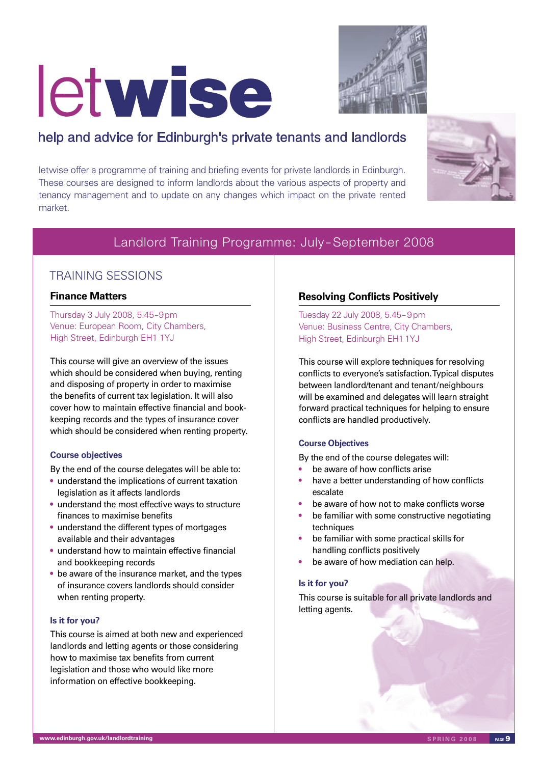# letwise



# help and advice for Edinburgh's private tenants and landlords

letwise offer a programme of training and briefing events for private landlords in Edinburgh. These courses are designed to inform landlords about the various aspects of property and tenancy management and to update on any changes which impact on the private rented market.



# Landlord Training Programme: July – September 2008

# TRAINING SESSIONS

# **Finance Matters**

Thursday 3 July 2008, 5.45–9pm Venue: European Room, City Chambers, High Street, Edinburgh EH1 1YJ

This course will give an overview of the issues which should be considered when buying, renting and disposing of property in order to maximise the benefits of current tax legislation. It will also cover how to maintain effective financial and bookkeeping records and the types of insurance cover which should be considered when renting property.

# **Course objectives**

By the end of the course delegates will be able to:

- understand the implications of current taxation legislation as it affects landlords
- understand the most effective ways to structure finances to maximise benefits
- understand the different types of mortgages available and their advantages
- understand how to maintain effective financial and bookkeeping records
- be aware of the insurance market, and the types of insurance covers landlords should consider when renting property.

# **Is it for you?**

This course is aimed at both new and experienced landlords and letting agents or those considering how to maximise tax benefits from current legislation and those who would like more information on effective bookkeeping.

# **Resolving Conflicts Positively**

Tuesday 22 July 2008, 5.45– 9pm Venue: Business Centre, City Chambers, High Street, Edinburgh EH1 1YJ

This course will explore techniques for resolving conflicts to everyone's satisfaction. Typical disputes between landlord/tenant and tenant/neighbours will be examined and delegates will learn straight forward practical techniques for helping to ensure conflicts are handled productively.

# **Course Objectives**

By the end of the course delegates will:

- be aware of how conflicts arise
- have a better understanding of how conflicts escalate
- be aware of how not to make conflicts worse
- be familiar with some constructive negotiating techniques
- be familiar with some practical skills for handling conflicts positively
- be aware of how mediation can help.

# **Is it for you?**

This course is suitable for all private landlords and letting agents.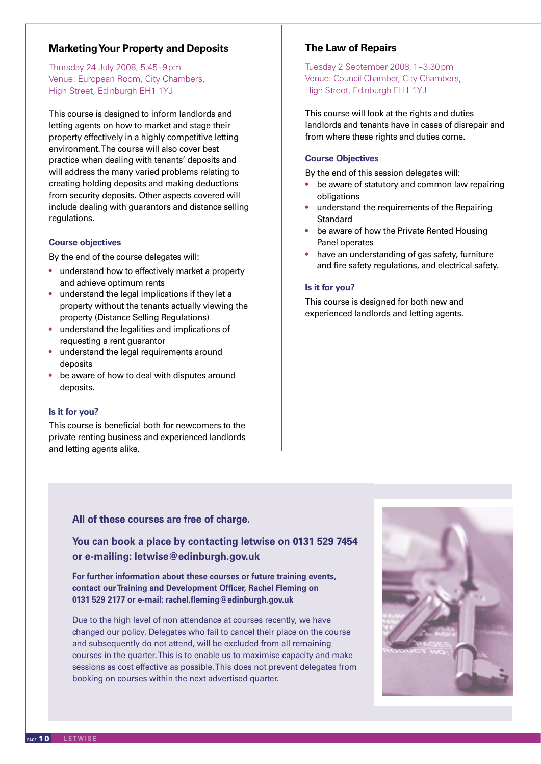# **Marketing Your Property and Deposits**

Thursday 24 July 2008, 5.45–9pm Venue: European Room, City Chambers, High Street, Edinburgh EH1 1YJ

This course is designed to inform landlords and letting agents on how to market and stage their property effectively in a highly competitive letting environment. The course will also cover best practice when dealing with tenants' deposits and will address the many varied problems relating to creating holding deposits and making deductions from security deposits. Other aspects covered will include dealing with guarantors and distance selling regulations.

### **Course objectives**

By the end of the course delegates will:

- understand how to effectively market a property and achieve optimum rents
- understand the legal implications if they let a property without the tenants actually viewing the property (Distance Selling Regulations)
- understand the legalities and implications of requesting a rent guarantor
- understand the legal requirements around deposits
- be aware of how to deal with disputes around deposits.

# **Is it for you?**

This course is beneficial both for newcomers to the private renting business and experienced landlords and letting agents alike.

# **The Law of Repairs**

Tuesday 2 September 2008, 1– 3.30pm Venue: Council Chamber, City Chambers, High Street, Edinburgh EH1 1YJ

This course will look at the rights and duties landlords and tenants have in cases of disrepair and from where these rights and duties come.

# **Course Objectives**

By the end of this session delegates will:

- be aware of statutory and common law repairing obligations
- understand the requirements of the Repairing **Standard**
- be aware of how the Private Rented Housing Panel operates
- have an understanding of gas safety, furniture and fire safety regulations, and electrical safety.

### **Is it for you?**

This course is designed for both new and experienced landlords and letting agents.

# **You can book a place by contacting letwise on 0131 529 7454 or e-mailing: letwise@edinburgh.gov.uk**

**For further information about these courses or future training events, contact our Training and Development Officer, Rachel Fleming on 0131 529 2177 or e-mail: rachel.fleming@edinburgh.gov.uk**

All of these courses are free of charge.<br>
You can book a place by contacting le<br>
or e-mailing: letwise@edinburgh.gov.<br>
For further information about these courses or<br>
contact our Training and Development Officer, l<br>
0131 5 Due to the high level of non attendance at courses recently, we have changed our policy. Delegates who fail to cancel their place on the course and subsequently do not attend, will be excluded from all remaining courses in the quarter. This is to enable us to maximise capacity and make sessions as cost effective as possible. This does not prevent delegates from booking on courses within the next advertised quarter.

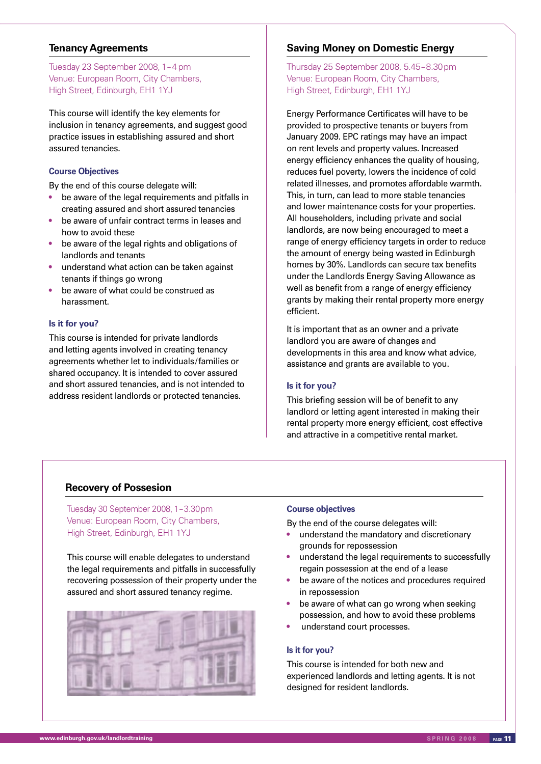# **Tenancy Agreements**

Tuesday 23 September 2008, 1– 4 pm Venue: European Room, City Chambers, High Street, Edinburgh, EH1 1YJ

This course will identify the key elements for inclusion in tenancy agreements, and suggest good practice issues in establishing assured and short assured tenancies.

# **Course Objectives**

By the end of this course delegate will:

- be aware of the legal requirements and pitfalls in creating assured and short assured tenancies
- be aware of unfair contract terms in leases and how to avoid these
- be aware of the legal rights and obligations of landlords and tenants
- understand what action can be taken against tenants if things go wrong
- be aware of what could be construed as harassment.

# **Is it for you?**

This course is intended for private landlords and letting agents involved in creating tenancy agreements whether let to individuals/families or shared occupancy. It is intended to cover assured and short assured tenancies, and is not intended to address resident landlords or protected tenancies.

# **Saving Money on Domestic Energy**

Thursday 25 September 2008, 5.45– 8.30pm Venue: European Room, City Chambers, High Street, Edinburgh, EH1 1YJ

Energy Performance Certificates will have to be provided to prospective tenants or buyers from January 2009. EPC ratings may have an impact on rent levels and property values. Increased energy efficiency enhances the quality of housing, reduces fuel poverty, lowers the incidence of cold related illnesses, and promotes affordable warmth. This, in turn, can lead to more stable tenancies and lower maintenance costs for your properties. All householders, including private and social landlords, are now being encouraged to meet a range of energy efficiency targets in order to reduce the amount of energy being wasted in Edinburgh homes by 30%. Landlords can secure tax benefits under the Landlords Energy Saving Allowance as well as benefit from a range of energy efficiency grants by making their rental property more energy efficient.

It is important that as an owner and a private landlord you are aware of changes and developments in this area and know what advice, assistance and grants are available to you.

### **Is it for you?**

This briefing session will be of benefit to any landlord or letting agent interested in making their rental property more energy efficient, cost effective and attractive in a competitive rental market.

# **Recovery of Possesion**

Tuesday 30 September 2008, 1– 3.30pm Venue: European Room, City Chambers, High Street, Edinburgh, EH1 1YJ

This course will enable delegates to understand the legal requirements and pitfalls in successfully recovering possession of their property under the assured and short assured tenancy regime.



### **Course objectives**

By the end of the course delegates will:

- understand the mandatory and discretionary grounds for repossession
- understand the legal requirements to successfully regain possession at the end of a lease
- be aware of the notices and procedures required in repossession
- be aware of what can go wrong when seeking possession, and how to avoid these problems
- understand court processes.

# **Is it for you?**

This course is intended for both new and experienced landlords and letting agents. It is not designed for resident landlords.